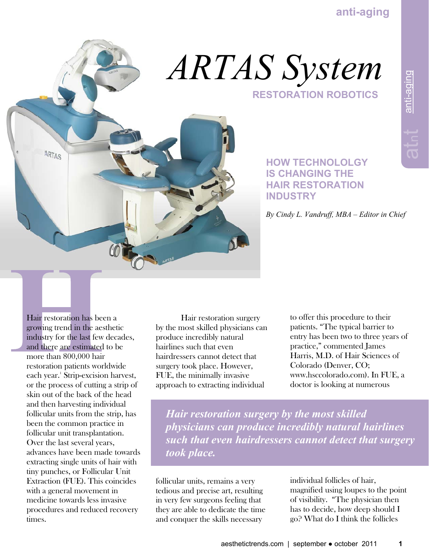

# **RESTORATION ROBOTICS**  *ARTAS System*

### **HOW TECHNOLOLGY IS CHANGING THE HAIR RESTORATION INDUSTRY**

 *By Cindy L. Vandruff, MBA – Editor in Chief* 

Hair restoration has been a growing trend in the aesthetic industry for the last few decades, and there are estimated to be more than 800,000 hair restoration patients worldwide each year.<sup>1</sup> Strip-excision harvest, or the process of cutting a strip of skin out of the back of the head and then harvesting individual follicular units from the strip, has been the common practice in follicular unit transplantation. Over the last several years, advances have been made towards extracting single units of hair with tiny punches, or Follicular Unit Extraction (FUE). This coincides with a general movement in medicine towards less invasive procedures and reduced recovery times.

 Hair restoration surgery by the most skilled physicians can produce incredibly natural hairlines such that even hairdressers cannot detect that surgery took place. However, FUE, the minimally invasive approach to extracting individual

to offer this procedure to their patients. "The typical barrier to entry has been two to three years of practice," commented James Harris, M.D. of Hair Sciences of Colorado (Denver, CO; www.hsccolorado.com). In FUE, a doctor is looking at numerous

*Hair restoration surgery by the most skilled physicians can produce incredibly natural hairlines such that even hairdressers cannot detect that surgery took place.*

follicular units, remains a very tedious and precise art, resulting in very few surgeons feeling that they are able to dedicate the time and conquer the skills necessary

individual follicles of hair, magnified using loupes to the point of visibility. "The physician then has to decide, how deep should I go? What do I think the follicles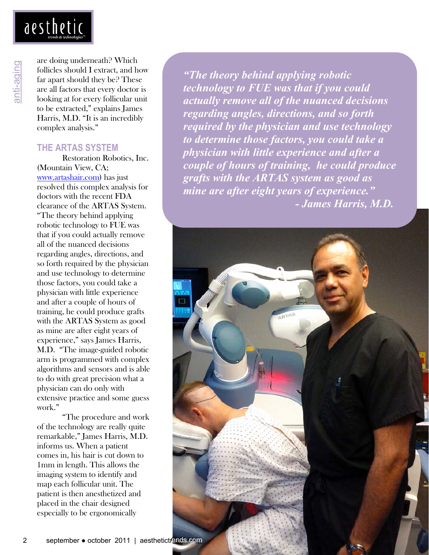

anti-aging

are doing underneath? Which follicles should I extract, and how far apart should they be? These are all factors that every doctor is looking at for every follicular unit to be extracted," explains James Harris, M.D. "It is an incredibly complex analysis."

#### **THE ARTAS SYSTEM**

 Restoration Robotics, Inc. (Mountain View, CA; www.artashair.com) has just resolved this complex analysis for doctors with the recent FDA clearance of the ARTAS System. "The theory behind applying robotic technology to FUE was that if you could actually remove all of the nuanced decisions regarding angles, directions, and so forth required by the physician and use technology to determine those factors, you could take a physician with little experience and after a couple of hours of training, he could produce grafts with the ARTAS System as good as mine are after eight years of experience," says James Harris, M.D. "The image-guided robotic arm is programmed with complex algorithms and sensors and is able to do with great precision what a physician can do only with extensive practice and some guess work."

 "The procedure and work of the technology are really quite remarkable," James Harris, M.D. informs us. When a patient comes in, his hair is cut down to 1mm in length. This allows the imaging system to identify and map each follicular unit. The patient is then anesthetized and placed in the chair designed especially to be ergonomically

*"The theory behind applying robotic technology to FUE was that if you could actually remove all of the nuanced decisions regarding angles, directions, and so forth required by the physician and use technology to determine those factors, you could take a physician with little experience and after a couple of hours of training, he could produce grafts with the ARTAS system as good as mine are after eight years of experience." - James Harris, M.D.* 

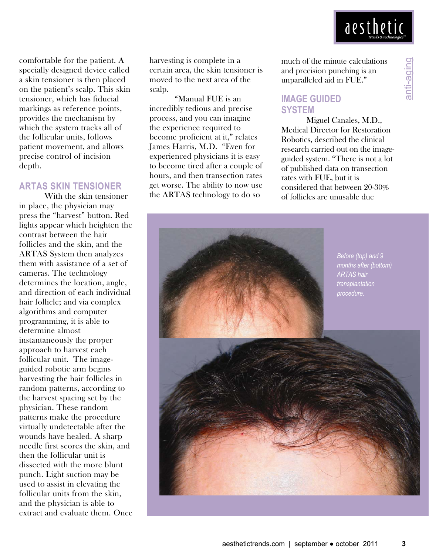

anti-aging

comfortable for the patient. A specially designed device called a skin tensioner is then placed on the patient's scalp. This skin tensioner, which has fiducial markings as reference points, provides the mechanism by which the system tracks all of the follicular units, follows patient movement, and allows precise control of incision depth.

#### **ARTAS SKIN TENSIONER**

 With the skin tensioner in place, the physician may press the "harvest" button. Red lights appear which heighten the contrast between the hair follicles and the skin, and the ARTAS System then analyzes them with assistance of a set of cameras. The technology determines the location, angle, and direction of each individual hair follicle; and via complex algorithms and computer programming, it is able to determine almost instantaneously the proper approach to harvest each follicular unit. The imageguided robotic arm begins harvesting the hair follicles in random patterns, according to the harvest spacing set by the physician. These random patterns make the procedure virtually undetectable after the wounds have healed. A sharp needle first scores the skin, and then the follicular unit is dissected with the more blunt punch. Light suction may be used to assist in elevating the follicular units from the skin, and the physician is able to extract and evaluate them. Once harvesting is complete in a certain area, the skin tensioner is moved to the next area of the scalp.

 "Manual FUE is an incredibly tedious and precise process, and you can imagine the experience required to become proficient at it," relates James Harris, M.D. "Even for experienced physicians it is easy to become tired after a couple of hours, and then transection rates get worse. The ability to now use the ARTAS technology to do so

much of the minute calculations and precision punching is an unparalleled aid in FUE."

#### **IMAGE GUIDED SYSTEM**

 Miguel Canales, M.D., Medical Director for Restoration Robotics, described the clinical research carried out on the imageguided system. "There is not a lot of published data on transection rates with FUE, but it is considered that between 20-30% of follicles are unusable due

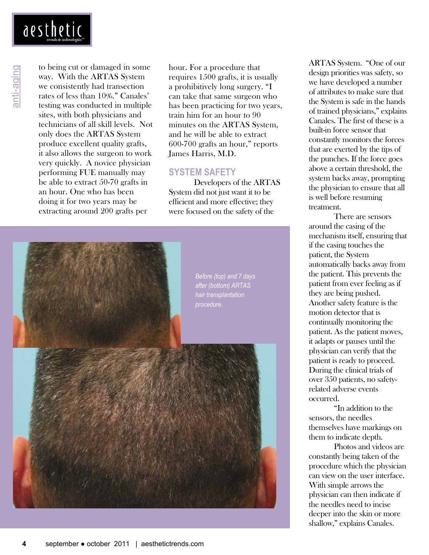anti-aging

to being cut or damaged in some way. With the ARTAS System we consistently had transection rates of less than 10%." Canales' testing was conducted in multiple sites, with both physicians and technicians of all skill levels. Not only does the ARTAS System produce excellent quality grafts, it also allows the surgeon to work very quickly. A novice physician performing FUE manually may be able to extract 50-70 grafts in an hour. One who has been doing it for two years may be extracting around 200 grafts per

hour. For a procedure that requires 1500 grafts, it is usually a prohibitively long surgery. "I can take that same surgeon who has been practicing for two years, train him for an hour to 90 minutes on the ARTAS System, and he will be able to extract 600-700 grafts an hour," reports James Harris, M.D.

#### **SYSTEM SAFETY**

 Developers of the ARTAS System did not just want it to be efficient and more effective; they were focused on the safety of the



ARTAS System. "One of our design priorities was safety, so we have developed a number of attributes to make sure that the System is safe in the hands of trained physicians," explains Canales. The first of these is a built-in force sensor that constantly monitors the forces that are exerted by the tips of the punches. If the force goes above a certain threshold, the system backs away, prompting the physician to ensure that all is well before resuming treatment.

 There are sensors around the casing of the mechanism itself, ensuring that if the casing touches the patient, the System automatically backs away from the patient. This prevents the patient from ever feeling as if they are being pushed. Another safety feature is the motion detector that is continually monitoring the patient. As the patient moves, it adapts or pauses until the physician can verify that the patient is ready to proceed. During the clinical trials of over 350 patients, no safetyrelated adverse events occurred.

 "In addition to the sensors, the needles themselves have markings on them to indicate depth.

 Photos and videos are constantly being taken of the procedure which the physician can view on the user interface. With simple arrows the physician can then indicate if the needles need to incise deeper into the skin or more shallow," explains Canales.